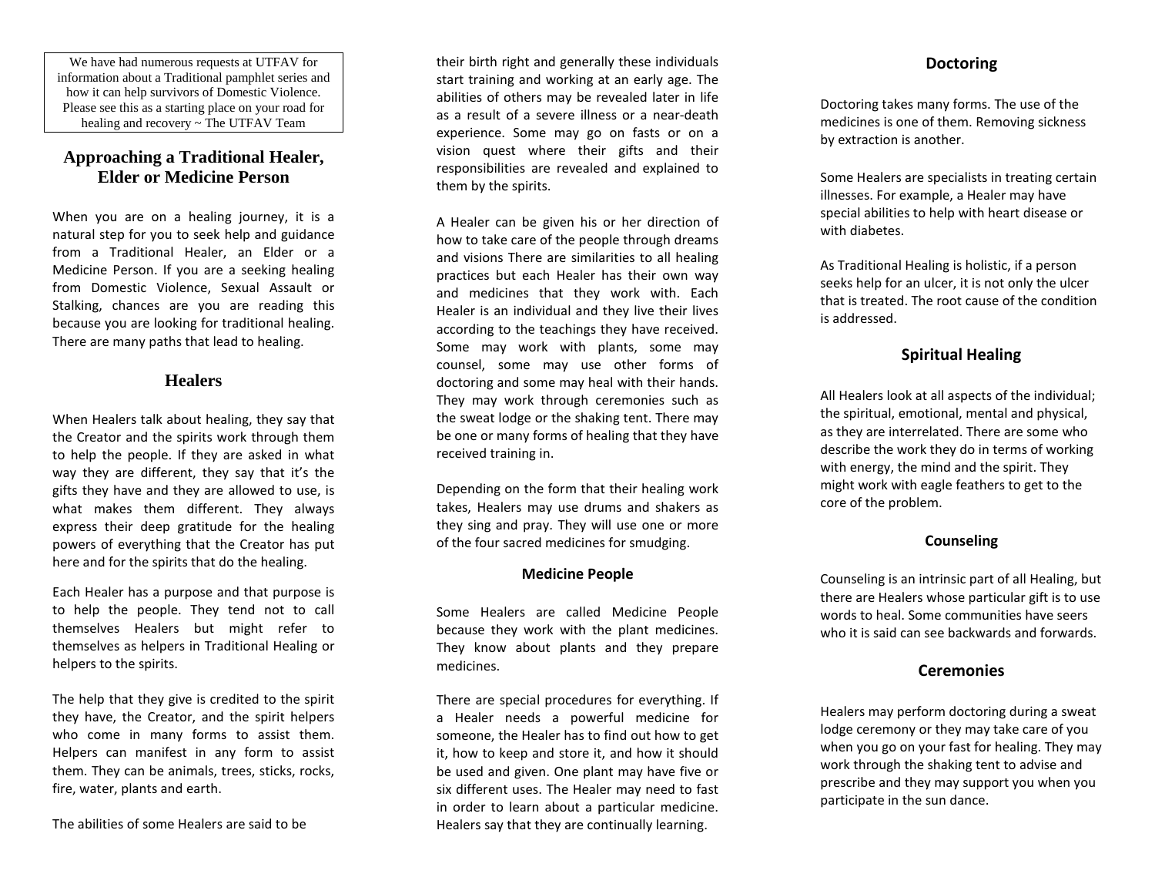We have had numerous requests at UTFAV for information about a Traditional pamphlet series and how it can help survivors of Domestic Violence. Please see this as a starting place on your road for healing and recovery ~ The UTFAV Team

## **Approaching a Traditional Healer, Elder or Medicine Person**

When you are on a healing journey, it is a natural step for you to seek help and guidance from a Traditional Healer, an Elder or a Medicine Person. If you are a seeking healing from Domestic Violence, Sexual Assault or Stalking, chances are you are reading this because you are looking for traditional healing. There are many paths that lead to healing.

## **Healers**

When Healers talk about healing, they say that the Creator and the spirits work through them to help the people. If they are asked in what way they are different, they say that it's the gifts they have and they are allowed to use, is what makes them different. They always express their deep gratitude for the healing powers of everything that the Creator has put here and for the spirits that do the healing.

Each Healer has a purpose and that purpose is to help the people. They tend not to call themselves Healers but might refer to themselves as helpers in Traditional Healing or helpers to the spirits.

The help that they give is credited to the spirit they have, the Creator, and the spirit helpers who come in many forms to assist them. Helpers can manifest in any form to assist them. They can be animals, trees, sticks, rocks, fire, water, plants and earth.

The abilities of some Healers are said to be

their birth right and generally these individuals start training and working at an early age. The abilities of others may be revealed later in life as a result of a severe illness or a near-death experience. Some may go on fasts or on a vision quest where their gifts and their responsibilities are revealed and explained to them by the spirits.

A Healer can be given his or her direction of how to take care of the people through dreams and visions There are similarities to all healing practices but each Healer has their own way and medicines that they work with. Each Healer is an individual and they live their lives according to the teachings they have received. Some may work with plants, some may counsel, some may use other forms of doctoring and some may heal with their hands. They may work through ceremonies such as the sweat lodge or the shaking tent. There may be one or many forms of healing that they have received training in.

Depending on the form that their healing work takes, Healers may use drums and shakers as they sing and pray. They will use one or more of the four sacred medicines for smudging.

#### **Medicine People**

Some Healers are called Medicine People because they work with the plant medicines. They know about plants and they prepare medicines.

There are special procedures for everything. If a Healer needs a powerful medicine for someone, the Healer has to find out how to get it, how to keep and store it, and how it should be used and given. One plant may have five or six different uses. The Healer may need to fast in order to learn about a particular medicine. Healers say that they are continually learning.

#### **Doctoring**

Doctoring takes many forms. The use of the medicines is one of them. Removing sickness by extraction is another.

Some Healers are specialists in treating certain illnesses. For example, a Healer may have special abilities to help with heart disease or with diabetes.

As Traditional Healing is holistic, if a person seeks help for an ulcer, it is not only the ulcer that is treated. The root cause of the condition is addressed.

## **Spiritual Healing**

All Healers look at all aspects of the individual; the spiritual, emotional, mental and physical, as they are interrelated. There are some who describe the work they do in terms of working with energy, the mind and the spirit. They might work with eagle feathers to get to the core of the problem.

#### **Counseling**

Counseling is an intrinsic part of all Healing, but there are Healers whose particular gift is to use words to heal. Some communities have seers who it is said can see backwards and forwards.

### **Ceremonies**

Healers may perform doctoring during a sweat lodge ceremony or they may take care of you when you go on your fast for healing. They may work through the shaking tent to advise and prescribe and they may support you when you participate in the sun dance.